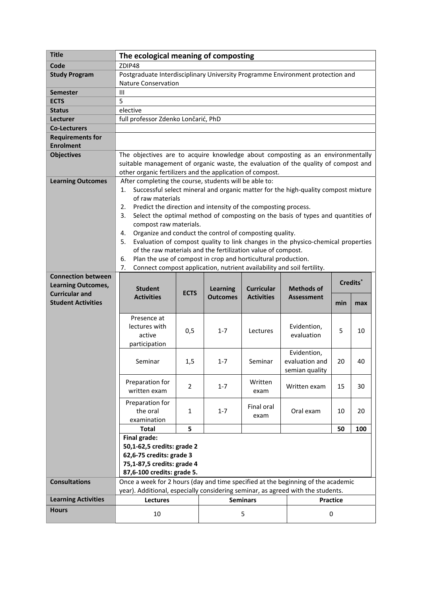|                                             | The ecological meaning of composting                                                                                                                                 |                |                                    |                                        |                                                                                   |                 |     |
|---------------------------------------------|----------------------------------------------------------------------------------------------------------------------------------------------------------------------|----------------|------------------------------------|----------------------------------------|-----------------------------------------------------------------------------------|-----------------|-----|
| Code                                        | ZDIP48                                                                                                                                                               |                |                                    |                                        |                                                                                   |                 |     |
| <b>Study Program</b>                        | Postgraduate Interdisciplinary University Programme Environment protection and                                                                                       |                |                                    |                                        |                                                                                   |                 |     |
|                                             | <b>Nature Conservation</b>                                                                                                                                           |                |                                    |                                        |                                                                                   |                 |     |
| <b>Semester</b>                             | $\mathbf{III}$                                                                                                                                                       |                |                                    |                                        |                                                                                   |                 |     |
| <b>ECTS</b>                                 | 5                                                                                                                                                                    |                |                                    |                                        |                                                                                   |                 |     |
| <b>Status</b>                               | elective                                                                                                                                                             |                |                                    |                                        |                                                                                   |                 |     |
| Lecturer                                    | full professor Zdenko Lončarić, PhD                                                                                                                                  |                |                                    |                                        |                                                                                   |                 |     |
| <b>Co-Lecturers</b>                         |                                                                                                                                                                      |                |                                    |                                        |                                                                                   |                 |     |
| <b>Requirements for</b><br><b>Enrolment</b> |                                                                                                                                                                      |                |                                    |                                        |                                                                                   |                 |     |
| <b>Objectives</b>                           |                                                                                                                                                                      |                |                                    |                                        |                                                                                   |                 |     |
|                                             | The objectives are to acquire knowledge about composting as an environmentally<br>suitable management of organic waste, the evaluation of the quality of compost and |                |                                    |                                        |                                                                                   |                 |     |
|                                             | other organic fertilizers and the application of compost.                                                                                                            |                |                                    |                                        |                                                                                   |                 |     |
| <b>Learning Outcomes</b>                    | After completing the course, students will be able to:                                                                                                               |                |                                    |                                        |                                                                                   |                 |     |
|                                             | 1.                                                                                                                                                                   |                |                                    |                                        | Successful select mineral and organic matter for the high-quality compost mixture |                 |     |
|                                             | of raw materials                                                                                                                                                     |                |                                    |                                        |                                                                                   |                 |     |
|                                             | Predict the direction and intensity of the composting process.<br>2.                                                                                                 |                |                                    |                                        |                                                                                   |                 |     |
|                                             | 3.                                                                                                                                                                   |                |                                    |                                        | Select the optimal method of composting on the basis of types and quantities of   |                 |     |
|                                             | compost raw materials.                                                                                                                                               |                |                                    |                                        |                                                                                   |                 |     |
|                                             | Organize and conduct the control of composting quality.<br>4.<br>5.                                                                                                  |                |                                    |                                        | Evaluation of compost quality to link changes in the physico-chemical properties  |                 |     |
|                                             | of the raw materials and the fertilization value of compost.                                                                                                         |                |                                    |                                        |                                                                                   |                 |     |
|                                             | Plan the use of compost in crop and horticultural production.<br>6.                                                                                                  |                |                                    |                                        |                                                                                   |                 |     |
|                                             | 7.                                                                                                                                                                   |                |                                    |                                        | Connect compost application, nutrient availability and soil fertility.            |                 |     |
| <b>Connection between</b>                   |                                                                                                                                                                      |                |                                    |                                        |                                                                                   |                 |     |
| <b>Learning Outcomes,</b>                   | Credits <sup>*</sup>                                                                                                                                                 |                |                                    |                                        |                                                                                   |                 |     |
| <b>Curricular and</b>                       | <b>Student</b><br><b>Activities</b>                                                                                                                                  | <b>ECTS</b>    | <b>Learning</b><br><b>Outcomes</b> | <b>Curricular</b><br><b>Activities</b> | <b>Methods of</b><br><b>Assessment</b>                                            |                 |     |
| <b>Student Activities</b>                   |                                                                                                                                                                      |                |                                    |                                        |                                                                                   | min             | max |
|                                             |                                                                                                                                                                      |                |                                    |                                        |                                                                                   |                 |     |
|                                             | Presence at<br>lectures with                                                                                                                                         |                |                                    |                                        | Evidention,                                                                       |                 |     |
|                                             |                                                                                                                                                                      |                |                                    |                                        |                                                                                   |                 | 10  |
|                                             |                                                                                                                                                                      | 0,5            | $1 - 7$                            | Lectures                               |                                                                                   | 5               |     |
|                                             | active                                                                                                                                                               |                |                                    |                                        | evaluation                                                                        |                 |     |
|                                             | participation                                                                                                                                                        |                |                                    |                                        |                                                                                   |                 |     |
|                                             | Seminar                                                                                                                                                              | 1,5            | $1 - 7$                            | Seminar                                | Evidention,<br>evaluation and                                                     | 20              | 40  |
|                                             |                                                                                                                                                                      |                |                                    |                                        | semian quality                                                                    |                 |     |
|                                             |                                                                                                                                                                      |                |                                    |                                        |                                                                                   |                 |     |
|                                             | Preparation for<br>written exam                                                                                                                                      | $\overline{2}$ | $1 - 7$                            | Written<br>exam                        | Written exam                                                                      | 15              | 30  |
|                                             |                                                                                                                                                                      |                |                                    |                                        |                                                                                   |                 |     |
|                                             | Preparation for                                                                                                                                                      |                |                                    | Final oral                             |                                                                                   |                 |     |
|                                             | the oral                                                                                                                                                             | $\mathbf{1}$   | $1 - 7$                            | exam                                   | Oral exam                                                                         | 10              | 20  |
|                                             | examination                                                                                                                                                          |                |                                    |                                        |                                                                                   |                 | 100 |
|                                             | <b>Total</b><br>Final grade:                                                                                                                                         | 5              |                                    |                                        |                                                                                   | 50              |     |
|                                             | 50,1-62,5 credits: grade 2                                                                                                                                           |                |                                    |                                        |                                                                                   |                 |     |
|                                             | 62,6-75 credits: grade 3                                                                                                                                             |                |                                    |                                        |                                                                                   |                 |     |
|                                             | 75,1-87,5 credits: grade 4                                                                                                                                           |                |                                    |                                        |                                                                                   |                 |     |
|                                             | 87,6-100 credits: grade 5.                                                                                                                                           |                |                                    |                                        |                                                                                   |                 |     |
| <b>Consultations</b>                        | Once a week for 2 hours (day and time specified at the beginning of the academic                                                                                     |                |                                    |                                        |                                                                                   |                 |     |
|                                             | year). Additional, especially considering seminar, as agreed with the students.                                                                                      |                |                                    |                                        |                                                                                   |                 |     |
| <b>Learning Activities</b><br><b>Hours</b>  | Lectures                                                                                                                                                             |                |                                    | <b>Seminars</b>                        |                                                                                   | <b>Practice</b> |     |